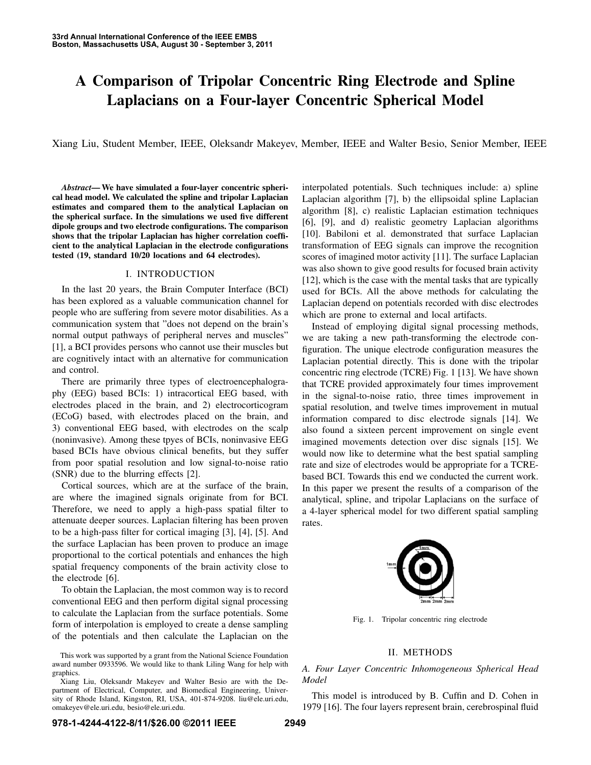# A Comparison of Tripolar Concentric Ring Electrode and Spline Laplacians on a Four-layer Concentric Spherical Model

Xiang Liu, Student Member, IEEE, Oleksandr Makeyev, Member, IEEE and Walter Besio, Senior Member, IEEE

*Abstract*— We have simulated a four-layer concentric spherical head model. We calculated the spline and tripolar Laplacian estimates and compared them to the analytical Laplacian on the spherical surface. In the simulations we used five different dipole groups and two electrode configurations. The comparison shows that the tripolar Laplacian has higher correlation coefficient to the analytical Laplacian in the electrode configurations tested (19, standard 10/20 locations and 64 electrodes).

#### I. INTRODUCTION

In the last 20 years, the Brain Computer Interface (BCI) has been explored as a valuable communication channel for people who are suffering from severe motor disabilities. As a communication system that "does not depend on the brain's normal output pathways of peripheral nerves and muscles" [1], a BCI provides persons who cannot use their muscles but are cognitively intact with an alternative for communication and control.

There are primarily three types of electroencephalography (EEG) based BCIs: 1) intracortical EEG based, with electrodes placed in the brain, and 2) electrocorticogram (ECoG) based, with electrodes placed on the brain, and 3) conventional EEG based, with electrodes on the scalp (noninvasive). Among these tpyes of BCIs, noninvasive EEG based BCIs have obvious clinical benefits, but they suffer from poor spatial resolution and low signal-to-noise ratio (SNR) due to the blurring effects [2].

Cortical sources, which are at the surface of the brain, are where the imagined signals originate from for BCI. Therefore, we need to apply a high-pass spatial filter to attenuate deeper sources. Laplacian filtering has been proven to be a high-pass filter for cortical imaging [3], [4], [5]. And the surface Laplacian has been proven to produce an image proportional to the cortical potentials and enhances the high spatial frequency components of the brain activity close to the electrode [6].

To obtain the Laplacian, the most common way is to record conventional EEG and then perform digital signal processing to calculate the Laplacian from the surface potentials. Some form of interpolation is employed to create a dense sampling of the potentials and then calculate the Laplacian on the

interpolated potentials. Such techniques include: a) spline Laplacian algorithm [7], b) the ellipsoidal spline Laplacian algorithm [8], c) realistic Laplacian estimation techniques [6], [9], and d) realistic geometry Laplacian algorithms [10]. Babiloni et al. demonstrated that surface Laplacian transformation of EEG signals can improve the recognition scores of imagined motor activity [11]. The surface Laplacian was also shown to give good results for focused brain activity [12], which is the case with the mental tasks that are typically used for BCIs. All the above methods for calculating the Laplacian depend on potentials recorded with disc electrodes which are prone to external and local artifacts.

Instead of employing digital signal processing methods, we are taking a new path-transforming the electrode configuration. The unique electrode configuration measures the Laplacian potential directly. This is done with the tripolar concentric ring electrode (TCRE) Fig. 1 [13]. We have shown that TCRE provided approximately four times improvement in the signal-to-noise ratio, three times improvement in spatial resolution, and twelve times improvement in mutual information compared to disc electrode signals [14]. We also found a sixteen percent improvement on single event imagined movements detection over disc signals [15]. We would now like to determine what the best spatial sampling rate and size of electrodes would be appropriate for a TCREbased BCI. Towards this end we conducted the current work. In this paper we present the results of a comparison of the analytical, spline, and tripolar Laplacians on the surface of a 4-layer spherical model for two different spatial sampling rates.



Fig. 1. Tripolar concentric ring electrode

#### II. METHODS

# *A. Four Layer Concentric Inhomogeneous Spherical Head Model*

This model is introduced by B. Cuffin and D. Cohen in 1979 [16]. The four layers represent brain, cerebrospinal fluid

This work was supported by a grant from the National Science Foundation award number 0933596. We would like to thank Liling Wang for help with graphics.

Xiang Liu, Oleksandr Makeyev and Walter Besio are with the Department of Electrical, Computer, and Biomedical Engineering, University of Rhode Island, Kingston, RI, USA, 401-874-9208. liu@ele.uri.edu, omakeyev@ele.uri.edu, besio@ele.uri.edu.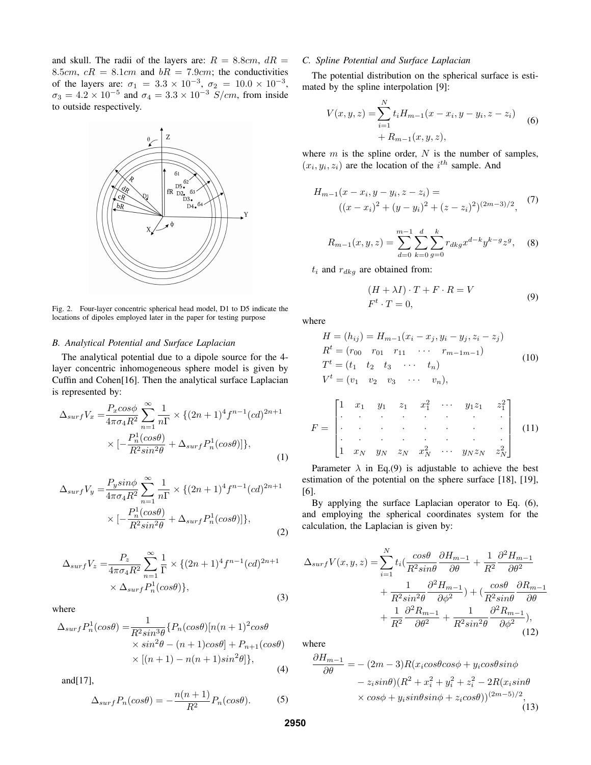and skull. The radii of the layers are:  $R = 8.8 \text{cm}$ ,  $dR =$ 8.5cm,  $cR = 8.1$ cm and  $bR = 7.9$ cm; the conductivities of the layers are:  $\sigma_1 = 3.3 \times 10^{-3}$ ,  $\sigma_2 = 10.0 \times 10^{-3}$ ,  $\sigma_3 = 4.2 \times 10^{-5}$  and  $\sigma_4 = 3.3 \times 10^{-3}$  S/cm, from inside to outside respectively.



Fig. 2. Four-layer concentric spherical head model, D1 to D5 indicate the locations of dipoles employed later in the paper for testing purpose

## *B. Analytical Potential and Surface Laplacian*

The analytical potential due to a dipole source for the 4 layer concentric inhomogeneous sphere model is given by Cuffin and Cohen[16]. Then the analytical surface Laplacian is represented by:

$$
\Delta_{surf}V_x = \frac{P_x \cos\phi}{4\pi\sigma_4 R^2} \sum_{n=1}^{\infty} \frac{1}{n\Gamma} \times \{(2n+1)^4 f^{n-1} (cd)^{2n+1} \times \left[-\frac{P_n^1(\cos\theta)}{R^2 \sin^2\theta} + \Delta_{surf} P_n^1(\cos\theta)\right]\},
$$
\n(1)

$$
\Delta_{surf}V_y = \frac{P_y \sin\phi}{4\pi\sigma_4 R^2} \sum_{n=1}^{\infty} \frac{1}{n\Gamma} \times \{(2n+1)^4 f^{n-1} (cd)^{2n+1} \times [-\frac{P_n^1(\cos\theta)}{R^2 \sin^2\theta} + \Delta_{surf} P_n^1(\cos\theta)]\},
$$
\n(2)

$$
\Delta_{surf}V_z = \frac{P_z}{4\pi\sigma_4 R^2} \sum_{n=1}^{\infty} \frac{1}{\Gamma} \times \{(2n+1)^4 f^{n-1} (cd)^{2n+1} \times \Delta_{surf} P_n^1 (cos\theta) \},
$$
\n(3)

where

$$
\Delta_{surf} P_n^1(cos\theta) = \frac{1}{R^2 sin^3\theta} \{P_n(cos\theta)[n(n+1)^2 cos\theta
$$
  
 
$$
\times sin^2\theta - (n+1) cos\theta] + P_{n+1}(cos\theta)
$$
  
 
$$
\times [(n+1) - n(n+1) sin^2\theta] \},
$$
 (4)

and[17],

$$
\Delta_{surf} P_n(\cos \theta) = -\frac{n(n+1)}{R^2} P_n(\cos \theta). \tag{5}
$$

#### *C. Spline Potential and Surface Laplacian*

The potential distribution on the spherical surface is estimated by the spline interpolation [9]:

$$
V(x, y, z) = \sum_{i=1}^{N} t_i H_{m-1}(x - x_i, y - y_i, z - z_i)
$$
  
+  $R_{m-1}(x, y, z)$ , (6)

where  $m$  is the spline order,  $N$  is the number of samples,  $(x_i, y_i, z_i)$  are the location of the  $i^{th}$  sample. And

$$
H_{m-1}(x - x_i, y - y_i, z - z_i) =
$$
  

$$
((x - x_i)^2 + (y - y_i)^2 + (z - z_i)^2)^{(2m-3)/2},
$$
 (7)

$$
R_{m-1}(x, y, z) = \sum_{d=0}^{m-1} \sum_{k=0}^{d} \sum_{g=0}^{k} r_{dkg} x^{d-k} y^{k-g} z^g, \quad (8)
$$

 $t_i$  and  $r_{dkg}$  are obtained from:

$$
(H + \lambda I) \cdot T + F \cdot R = V
$$
  

$$
F^t \cdot T = 0,
$$
 (9)

where

$$
H = (h_{ij}) = H_{m-1}(x_i - x_j, y_i - y_j, z_i - z_j)
$$
  
\n
$$
R^t = (r_{00} \t r_{01} \t r_{11} \t \cdots \t r_{m-1m-1})
$$
  
\n
$$
T^t = (t_1 \t t_2 \t t_3 \t \cdots \t t_n)
$$
  
\n
$$
V^t = (v_1 \t v_2 \t v_3 \t \cdots \t v_n),
$$
\n(10)

$$
F = \begin{bmatrix} 1 & x_1 & y_1 & z_1 & x_1^2 & \cdots & y_1 z_1 & z_1^2 \\ \cdot & \cdot & \cdot & \cdot & \cdot & \cdot \\ \cdot & \cdot & \cdot & \cdot & \cdot & \cdot \\ \cdot & \cdot & \cdot & \cdot & \cdot & \cdot \\ 1 & x_N & y_N & z_N & x_N^2 & \cdots & y_N z_N & z_N^2 \end{bmatrix}
$$
 (11)

Parameter  $\lambda$  in Eq.(9) is adjustable to achieve the best estimation of the potential on the sphere surface [18], [19], [6].

By applying the surface Laplacian operator to Eq. (6), and employing the spherical coordinates system for the calculation, the Laplacian is given by:

$$
\Delta_{surf}V(x,y,z) = \sum_{i=1}^{N} t_i \left( \frac{\cos\theta}{R^2 \sin\theta} \frac{\partial H_{m-1}}{\partial \theta} + \frac{1}{R^2} \frac{\partial^2 H_{m-1}}{\partial \theta^2} + \frac{1}{R^2 \sin^2\theta} \frac{\partial^2 H_{m-1}}{\partial \phi^2} \right) + \left( \frac{\cos\theta}{R^2 \sin\theta} \frac{\partial R_{m-1}}{\partial \theta} + \frac{1}{R^2} \frac{\partial^2 R_{m-1}}{\partial \theta^2} + \frac{1}{R^2 \sin^2\theta} \frac{\partial^2 R_{m-1}}{\partial \phi^2} \right),
$$
\n(12)

where

$$
\frac{\partial H_{m-1}}{\partial \theta} = -(2m-3)R(x_i\cos\theta\cos\phi + y_i\cos\theta\sin\phi
$$

$$
- z_i\sin\theta)(R^2 + x_i^2 + y_i^2 + z_i^2 - 2R(x_i\sin\theta
$$

$$
\times \cos\phi + y_i\sin\theta\sin\phi + z_i\cos\theta))^{(2m-5)/2},
$$
(13)

**2950**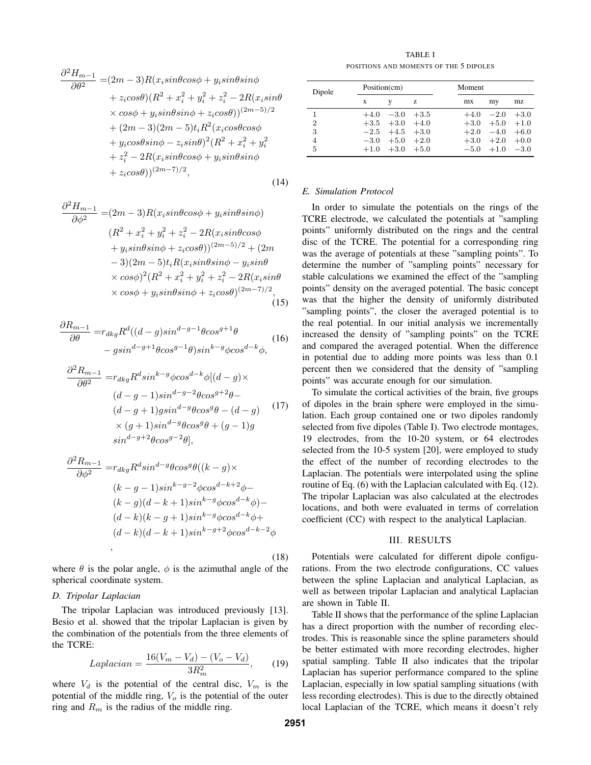$$
\frac{\partial^2 H_{m-1}}{\partial \theta^2} = (2m-3)R(x_i sin\theta cos\phi + y_i sin\theta sin\phi \n+ z_i cos\theta)(R^2 + x_i^2 + y_i^2 + z_i^2 - 2R(x_i sin\theta \n\times cos\phi + y_i sin\theta sin\phi + z_i cos\theta))^{(2m-5)/2} \n+ (2m-3)(2m-5)t_iR^2(x_i cos\theta cos\phi \n+ y_i cos\theta sin\phi - z_i sin\theta)^2(R^2 + x_i^2 + y_i^2 \n+ z_i^2 - 2R(x_i sin\theta cos\phi + y_i sin\theta sin\phi \n+ z_i cos\theta))^{(2m-7)/2},
$$
\n(14)

$$
\frac{\partial^2 H_{m-1}}{\partial \phi^2} = (2m-3)R(x_i sin\theta cos\phi + y_i sin\theta sin\phi)
$$
  
\n
$$
(R^2 + x_i^2 + y_i^2 + z_i^2 - 2R(x_i sin\theta cos\phi + y_i sin\theta sin\phi + z_i cos\theta))^{(2m-5)/2} + (2m
$$
  
\n
$$
-3)(2m-5)t_iR(x_i sin\theta sin\phi - y_i sin\theta + z_i cos\phi)^2(R^2 + x_i^2 + y_i^2 + z_i^2 - 2R(x_i sin\theta + x_i cos\phi + y_i sin\theta sin\phi + z_i cos\theta)^{(2m-7)/2},
$$
  
\n(15)

$$
\frac{\partial R_{m-1}}{\partial \theta} = r_{\,} R^d \left( (d-g)\sin^{d-g-1}\theta \cos^{g+1}\theta \right) - g \sin^{d-g+1}\theta \cos^{g-1}\theta \sin^{k-g} \phi \cos^{d-k}\phi,
$$
\n(16)

$$
\frac{\partial^2 R_{m-1}}{\partial \theta^2} = r_{dkg} R^d \sin^{k-g} \phi \cos^{d-k} \phi [(d-g) \times
$$
  

$$
(d-g-1) \sin^{d-g-2} \theta \cos^{g+2} \theta -
$$
  

$$
(d-g+1) g \sin^{d-g} \theta \cos^g \theta - (d-g)
$$
  

$$
\times (g+1) \sin^{d-g} \theta \cos^g \theta + (g-1) g
$$
  

$$
\sin^{d-g+2} \theta \cos^{g-2} \theta],
$$
\n(17)

$$
\frac{\partial^2 R_{m-1}}{\partial \phi^2} = r_{dkg} R^d \sin^{d-g} \theta \cos^g \theta((k-g) \times
$$
  
\n
$$
(k-g-1) \sin^{k-g-2} \phi \cos^{d-k+2} \phi -
$$
  
\n
$$
(k-g)(d-k+1) \sin^{k-g} \phi \cos^{d-k} \phi) -
$$
  
\n
$$
(d-k)(k-g+1) \sin^{k-g} \phi \cos^{d-k} \phi +
$$
  
\n
$$
(d-k)(d-k+1) \sin^{k-g+2} \phi \cos^{d-k-2} \phi
$$

where  $\theta$  is the polar angle,  $\phi$  is the azimuthal angle of the spherical coordinate system.

#### *D. Tripolar Laplacian*

The tripolar Laplacian was introduced previously [13]. Besio et al. showed that the tripolar Laplacian is given by the combination of the potentials from the three elements of the TCRE:

$$
Laplacian = \frac{16(V_m - V_d) - (V_o - V_d)}{3R_m^2},
$$
 (19)

where  $V_d$  is the potential of the central disc,  $V_m$  is the potential of the middle ring,  $V<sub>o</sub>$  is the potential of the outer ring and  $R_m$  is the radius of the middle ring.

TABLE I POSITIONS AND MOMENTS OF THE 5 DIPOLES

| Dipole         | Position(cm) |                      |   | <b>Moment</b> |             |        |
|----------------|--------------|----------------------|---|---------------|-------------|--------|
|                | X            |                      | z | mx            | my          | mz     |
| 1              | $+4.0$       | $-3.0 +3.5$          |   | $+4.0$        | $-2.0$      | $+3.0$ |
| $\overline{2}$ |              | $+3.5$ $+3.0$ $+4.0$ |   | $+3.0$        | $+5.0 +1.0$ |        |
| 3              |              | $-2.5$ $+4.5$ $+3.0$ |   | $+2.0$        | $-4.0$      | $+6.0$ |
| 4              | $-3.0$       | $+5.0 +2.0$          |   | $+3.0$        | $+2.0$      | $+0.0$ |
| 5              |              | $+1.0 +3.0 +5.0$     |   | $-5.0$        | $+1.0 -3.0$ |        |

# *E. Simulation Protocol*

In order to simulate the potentials on the rings of the TCRE electrode, we calculated the potentials at "sampling points" uniformly distributed on the rings and the central disc of the TCRE. The potential for a corresponding ring was the average of potentials at these "sampling points". To determine the number of "sampling points" necessary for stable calculations we examined the effect of the "sampling points" density on the averaged potential. The basic concept was that the higher the density of uniformly distributed "sampling points", the closer the averaged potential is to the real potential. In our initial analysis we incrementally increased the density of "sampling points" on the TCRE and compared the averaged potential. When the difference in potential due to adding more points was less than 0.1 percent then we considered that the density of "sampling points" was accurate enough for our simulation.

To simulate the cortical activities of the brain, five groups of dipoles in the brain sphere were employed in the simulation. Each group contained one or two dipoles randomly selected from five dipoles (Table I). Two electrode montages, 19 electrodes, from the 10-20 system, or 64 electrodes selected from the 10-5 system [20], were employed to study the effect of the number of recording electrodes to the Laplacian. The potentials were interpolated using the spline routine of Eq. (6) with the Laplacian calculated with Eq. (12). The tripolar Laplacian was also calculated at the electrodes locations, and both were evaluated in terms of correlation coefficient (CC) with respect to the analytical Laplacian.

## III. RESULTS

Potentials were calculated for different dipole configurations. From the two electrode configurations, CC values between the spline Laplacian and analytical Laplacian, as well as between tripolar Laplacian and analytical Laplacian are shown in Table II.

Table II shows that the performance of the spline Laplacian has a direct proportion with the number of recording electrodes. This is reasonable since the spline parameters should be better estimated with more recording electrodes, higher spatial sampling. Table II also indicates that the tripolar Laplacian has superior performance compared to the spline Laplacian, especially in low spatial sampling situations (with less recording electrodes). This is due to the directly obtained local Laplacian of the TCRE, which means it doesn't rely

(18)